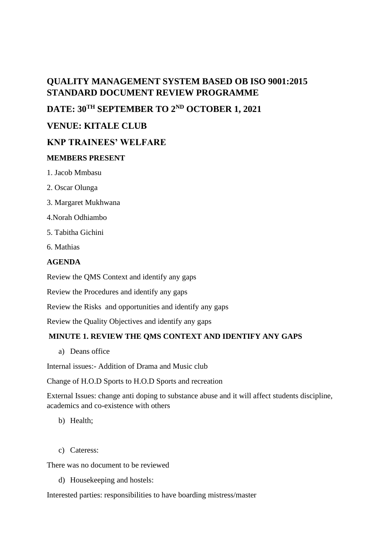# **QUALITY MANAGEMENT SYSTEM BASED OB ISO 9001:2015 STANDARD DOCUMENT REVIEW PROGRAMME**

**DATE: 30TH SEPTEMBER TO 2ND OCTOBER 1, 2021**

# **VENUE: KITALE CLUB**

## **KNP TRAINEES' WELFARE**

#### **MEMBERS PRESENT**

- 1. Jacob Mmbasu
- 2. Oscar Olunga
- 3. Margaret Mukhwana
- 4.Norah Odhiambo
- 5. Tabitha Gichini
- 6. Mathias

#### **AGENDA**

Review the QMS Context and identify any gaps

Review the Procedures and identify any gaps

Review the Risks and opportunities and identify any gaps

Review the Quality Objectives and identify any gaps

### **MINUTE 1. REVIEW THE QMS CONTEXT AND IDENTIFY ANY GAPS**

a) Deans office

Internal issues:- Addition of Drama and Music club

Change of H.O.D Sports to H.O.D Sports and recreation

External Issues: change anti doping to substance abuse and it will affect students discipline, academics and co-existence with others

- b) Health;
- c) Cateress:

There was no document to be reviewed

d) Housekeeping and hostels:

Interested parties: responsibilities to have boarding mistress/master